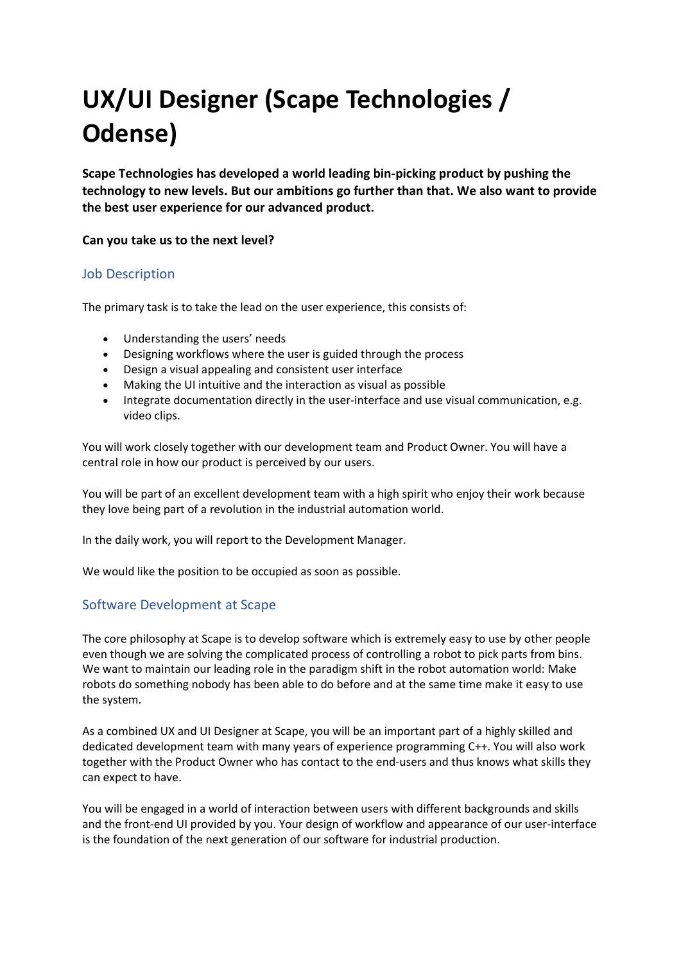# UX/UI Designer (Scape Technologies / Odense)

Scape Technologies has developed a world leading bin-picking product by pushing the technology to new levels. But our ambitions go further than that. We also want to provide the best user experience for our advanced product.

#### Can you take us to the next level?

### Job Description

The primary task is to take the lead on the user experience, this consists of:

- Understanding the users' needs
- Designing workflows where the user is guided through the process
- Design a visual appealing and consistent user interface
- Making the UI intuitive and the interaction as visual as possible
- Integrate documentation directly in the user-interface and use visual communication, e.g. video clips.

You will work closely together with our development team and Product Owner. You will have a central role in how our product is perceived by our users.

You will be part of an excellent development team with a high spirit who enjoy their work because they love being part of a revolution in the industrial automation world.

In the daily work, you will report to the Development Manager.

We would like the position to be occupied as soon as possible.

### Software Development at Scape

The core philosophy at Scape is to develop software which is extremely easy to use by other people even though we are solving the complicated process of controlling a robot to pick parts from bins. We want to maintain our leading role in the paradigm shift in the robot automation world: Make robots do something nobody has been able to do before and at the same time make it easy to use the system.

As a combined UX and UI Designer at Scape, you will be an important part of a highly skilled and dedicated development team with many years of experience programming C++. You will also work together with the Product Owner who has contact to the end-users and thus knows what skills they can expect to have.

You will be engaged in a world of interaction between users with different backgrounds and skills and the front-end UI provided by you. Your design of workflow and appearance of our user-interface is the foundation of the next generation of our software for industrial production.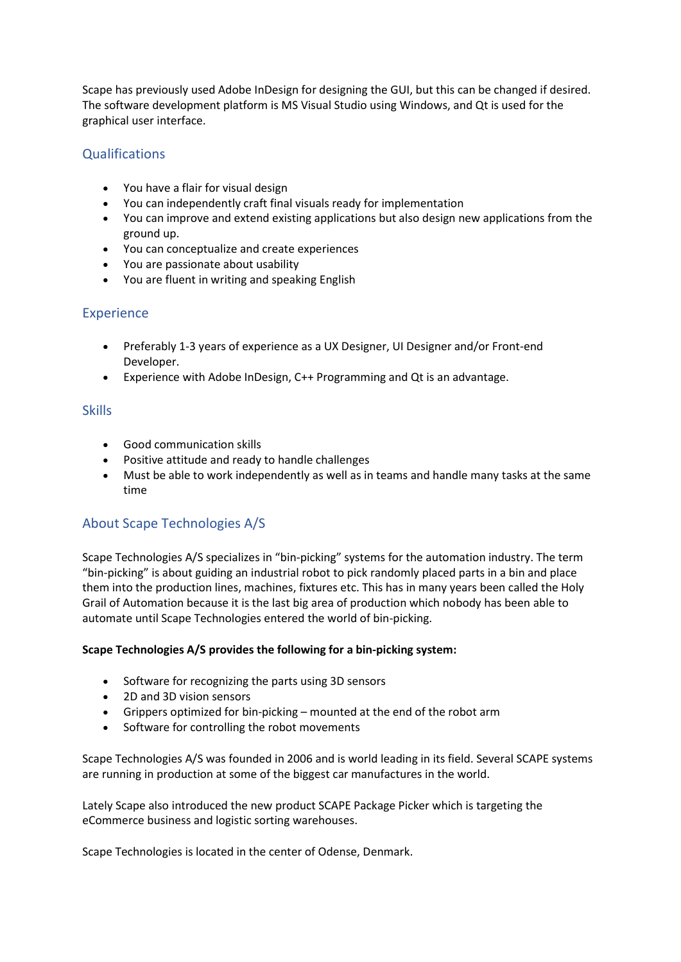Scape has previously used Adobe InDesign for designing the GUI, but this can be changed if desired. The software development platform is MS Visual Studio using Windows, and Qt is used for the graphical user interface.

# **Qualifications**

- You have a flair for visual design
- You can independently craft final visuals ready for implementation
- You can improve and extend existing applications but also design new applications from the ground up.
- You can conceptualize and create experiences
- You are passionate about usability
- You are fluent in writing and speaking English

## Experience

- Preferably 1-3 years of experience as a UX Designer, UI Designer and/or Front-end Developer.
- Experience with Adobe InDesign, C++ Programming and Qt is an advantage.

## **Skills**

- Good communication skills
- Positive attitude and ready to handle challenges
- Must be able to work independently as well as in teams and handle many tasks at the same time

## About Scape Technologies A/S

Scape Technologies A/S specializes in "bin-picking" systems for the automation industry. The term "bin-picking" is about guiding an industrial robot to pick randomly placed parts in a bin and place them into the production lines, machines, fixtures etc. This has in many years been called the Holy Grail of Automation because it is the last big area of production which nobody has been able to automate until Scape Technologies entered the world of bin-picking.

### Scape Technologies A/S provides the following for a bin-picking system:

- Software for recognizing the parts using 3D sensors
- 2D and 3D vision sensors
- Grippers optimized for bin-picking mounted at the end of the robot arm
- Software for controlling the robot movements

Scape Technologies A/S was founded in 2006 and is world leading in its field. Several SCAPE systems are running in production at some of the biggest car manufactures in the world.

Lately Scape also introduced the new product SCAPE Package Picker which is targeting the eCommerce business and logistic sorting warehouses.

Scape Technologies is located in the center of Odense, Denmark.